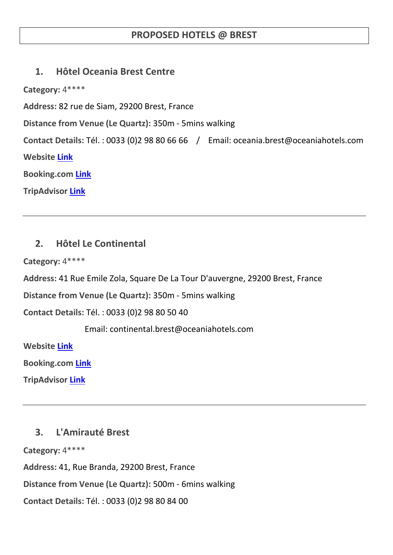## **PROPOSED HOTELS @ BREST**

### **1. Hôtel Oceania Brest Centre**

**Category:** 4\*\*\*\*

**Address:** 82 rue de Siam, 29200 Brest, France

**Distance from Venue (Le Quartz):** 350m - 5mins walking

**Contact Details:** Tél. : 0033 (0)2 98 80 66 66 / Email: oceania.brest@oceaniahotels.com **Website [Link](http://www.oceaniahotels.com/h/hotel-oceania-brest-centre/presentation#navTabHotel) Booking.com [Link](http://www.booking.com/hotel/fr/hotel-oceania-brest-centre.en-gb.html?aid=376363;label=booking-name-gQ*SvY9eJCQbaA0H7nkbiAS67284973878%3Apl%3Ata%3Ap1%3Ap2674%2C000%3Aac%3Aap1t1%3Aneg;sid=e0347514f718a958ef1cd49a55a02417;dcid=1;checkin=2015-10-28;checkout=2015-10-30;dist=0;group_adults=2;srfid=8c557567d2c1cd69be16b2bcf71e3564270b7a24X1;type=total;ucfs=1&)**

**TripAdvisor [Link](http://www.tripadvisor.com/Hotel_Review-g187095-d256080-Reviews-Hotel_Oceania_Brest_Centre-Brest_Finistere_Brittany.html)**

# **2. Hôtel Le Continental**

**Category:** 4\*\*\*\*

**Address:** 41 Rue Emile Zola, Square De La Tour D'auvergne, 29200 Brest, France

**Distance from Venue (Le Quartz):** 350m - 5mins walking

**Contact Details:** Tél. : 0033 (0)2 98 80 50 40

Email: continental.brest@oceaniahotels.com

**Website [Link](http://www.oceaniahotels.com/h/hotel-le-continental-brest/presentation)**

**Booking.com [Link](http://www.booking.com/hotel/fr/hotel-le-continental.en-gb.html?aid=376363;label=booking-name-gQ*SvY9eJCQbaA0H7nkbiAS67284973878%3Apl%3Ata%3Ap1%3Ap2674%2C000%3Aac%3Aap1t1%3Aneg;sid=e0347514f718a958ef1cd49a55a02417;dcid=1;checkin=2015-10-28;checkout=2015-10-30;dist=0;group_adults=2;srfid=0b6b0bbbcdeba2b503d70553446168c8f5ac3bc6X1;type=total;ucfs=1&)**

**TripAdvisor [Link](http://www.tripadvisor.com/Hotel_Review-g187095-d321044-Reviews-Hotel_Le_Continental-Brest_Finistere_Brittany.html)**

### **3. L'Amirauté Brest**

**Category:** 4\*\*\*\*

**Address:** 41, Rue Branda, 29200 Brest, France

**Distance from Venue (Le Quartz):** 500m - 6mins walking

**Contact Details:** Tél. : 0033 (0)2 98 80 84 00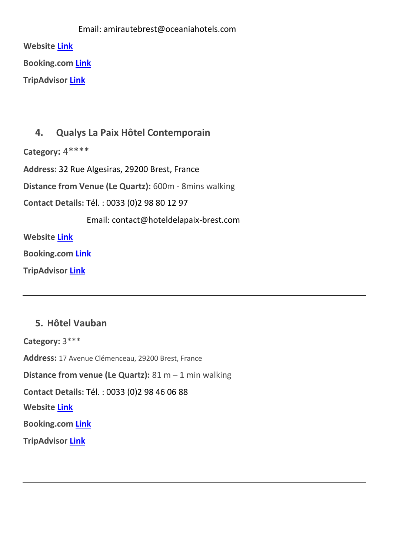|                         | Email: amirautebrest@oceaniahotels.com |
|-------------------------|----------------------------------------|
| <b>Website Link</b>     |                                        |
| <b>Booking.com Link</b> |                                        |

**TripAdvisor [Link](http://www.tripadvisor.com/Hotel_Review-g187095-d227992-Reviews-L_Amiraute-Brest_Finistere_Brittany.html)**

## **4. Qualys La Paix Hôtel Contemporain**

**Category:** 4\*\*\*\*

**Address:** 32 Rue Algesiras, 29200 Brest, France

**Distance from Venue (Le Quartz):** 600m - 8mins walking

**Contact Details:** Tél. : 0033 (0)2 98 80 12 97

Email: contact@hoteldelapaix-brest.com

**Website [Link](http://www.hoteldelapaix-brest.com/?langue=en)**

**Booking.com [Link](http://www.booking.com/hotel/fr/hoteldelapaix.en-gb.html?aid=376363;label=booking-name-gQ*SvY9eJCQbaA0H7nkbiAS67284973878%3Apl%3Ata%3Ap1%3Ap2674%2C000%3Aac%3Aap1t1%3Aneg;sid=e0347514f718a958ef1cd49a55a02417;dcid=1;dist=0;group_adults=2;srfid=c6b371b0ee32c)**

**TripAdvisor [Link](http://www.tripadvisor.com/Hotel_Review-g187095-d578350-Reviews-Hotel_De_La_Paix-Brest_Finistere_Brittany.html)**

### **5. Hôtel Vauban**

**Category:** 3\*\*\* **Address:** 17 Avenue Clémenceau, 29200 Brest, France **Distance from venue (Le Quartz):** 81 m – 1 min walking **Contact Details:** Tél. : 0033 (0)2 98 46 06 88 **Website [Link](http://www.hotelvauban.fr/?gclid=CIjzsKSBiMYCFennwgodNywA5g) Booking.com [Link](http://www.booking.com/hotel/fr/vauban-brest.en-gb.html?aid=332539;label=metagha-hotel-235835_site-mapresults_ucc-BE_dev-desktop_los-1_room-0_lang-en_curr-EUR;sid=e0347514f718a958ef1cd49a55a02417;dcid=1;checkin=2015-10-28;checkout=2015-10-30;dist=0;no_roo) TripAdvisor [Link](http://www.tripadvisor.com/Hotel_Review-g187095-d1215680-Reviews-Hotel_Vauban-Brest_Finistere_Brittany.html)**